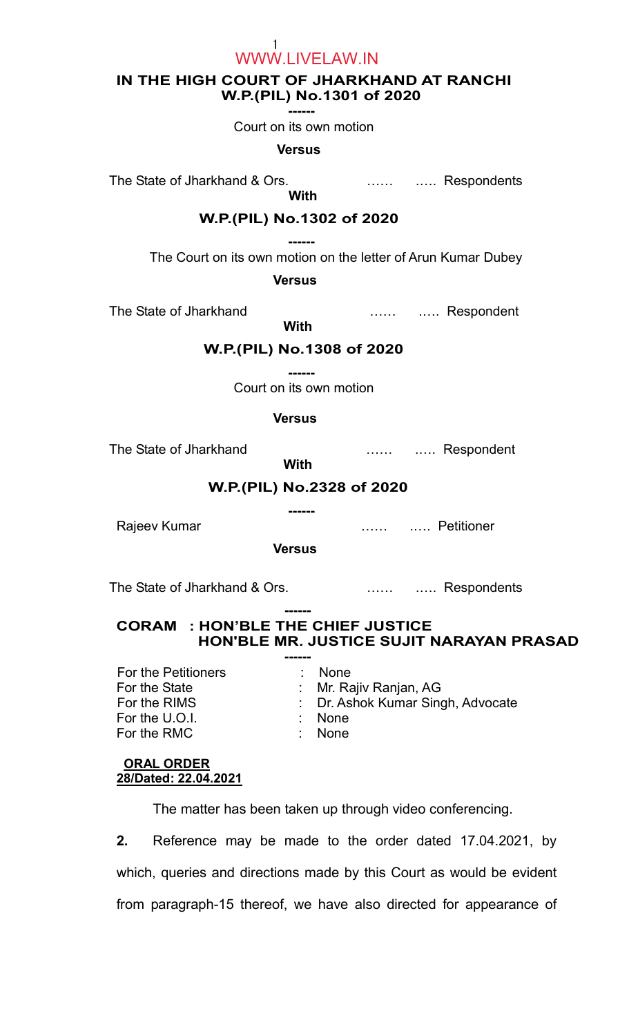1 WWW.LIVELAW.IN

## IN THE HIGH COURT OF JHARKHAND AT RANCHI W.P.(PIL) No.1301 of 2020

------

Court on its own motion

#### **Versus**

The State of Jharkhand & Ors. **Example 20** match that Respondents

**Example 2018 With With** 

## W.P.(PIL) No.1302 of 2020

 ------ The Court on its own motion on the letter of Arun Kumar Dubey

**Versus** 

The State of Jharkhand **Example 20** match with the State of Jharkhand

# W.P.(PIL) No.1308 of 2020

**With** 

 ------ Court on its own motion

### **Versus**

With

The State of Jharkhand **Example 20** match with the State of Jharkhand

# W.P.(PIL) No.2328 of 2020

------

Rajeev Kumar **National Example 2018** Manual Museum 2019 Manual Museum 2019 Manual Museum 2019 Manual Museum 201

Versus

The State of Jharkhand & Ors. **Example 20** match with Respondents

#### ------ CORAM : HON'BLE THE CHIEF JUSTICE HON'BLE MR. JUSTICE SUJIT NARAYAN PRASAD

| For the Petitioners | <b>None</b>                       |
|---------------------|-----------------------------------|
| For the State       | : Mr. Rajiv Ranjan, AG            |
| For the RIMS        | : Dr. Ashok Kumar Singh, Advocate |
| For the U.O.I.      | $:$ None                          |
| For the RMC         | $:$ None                          |
|                     |                                   |

### ORAL ORDER 28/Dated: 22.04.2021

The matter has been taken up through video conferencing.

2. Reference may be made to the order dated 17.04.2021, by which, queries and directions made by this Court as would be evident from paragraph-15 thereof, we have also directed for appearance of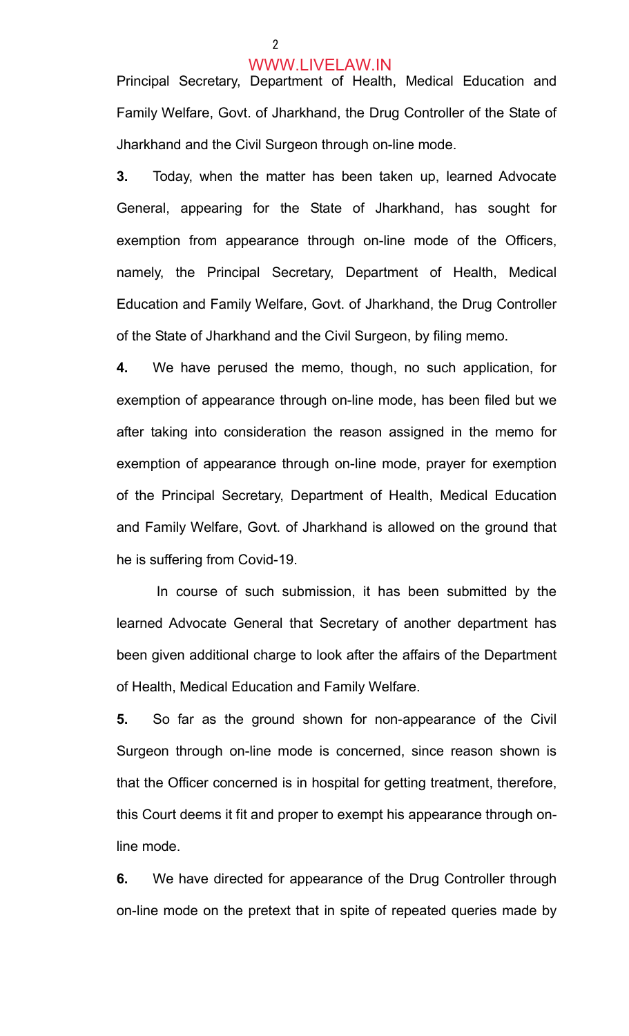2

#### WWW.LIVELAW.IN

Principal Secretary, Department of Health, Medical Education and Family Welfare, Govt. of Jharkhand, the Drug Controller of the State of Jharkhand and the Civil Surgeon through on-line mode.

3. Today, when the matter has been taken up, learned Advocate General, appearing for the State of Jharkhand, has sought for exemption from appearance through on-line mode of the Officers, namely, the Principal Secretary, Department of Health, Medical Education and Family Welfare, Govt. of Jharkhand, the Drug Controller of the State of Jharkhand and the Civil Surgeon, by filing memo.

4. We have perused the memo, though, no such application, for exemption of appearance through on-line mode, has been filed but we after taking into consideration the reason assigned in the memo for exemption of appearance through on-line mode, prayer for exemption of the Principal Secretary, Department of Health, Medical Education and Family Welfare, Govt. of Jharkhand is allowed on the ground that he is suffering from Covid-19.

 In course of such submission, it has been submitted by the learned Advocate General that Secretary of another department has been given additional charge to look after the affairs of the Department of Health, Medical Education and Family Welfare.

5. So far as the ground shown for non-appearance of the Civil Surgeon through on-line mode is concerned, since reason shown is that the Officer concerned is in hospital for getting treatment, therefore, this Court deems it fit and proper to exempt his appearance through online mode.

6. We have directed for appearance of the Drug Controller through on-line mode on the pretext that in spite of repeated queries made by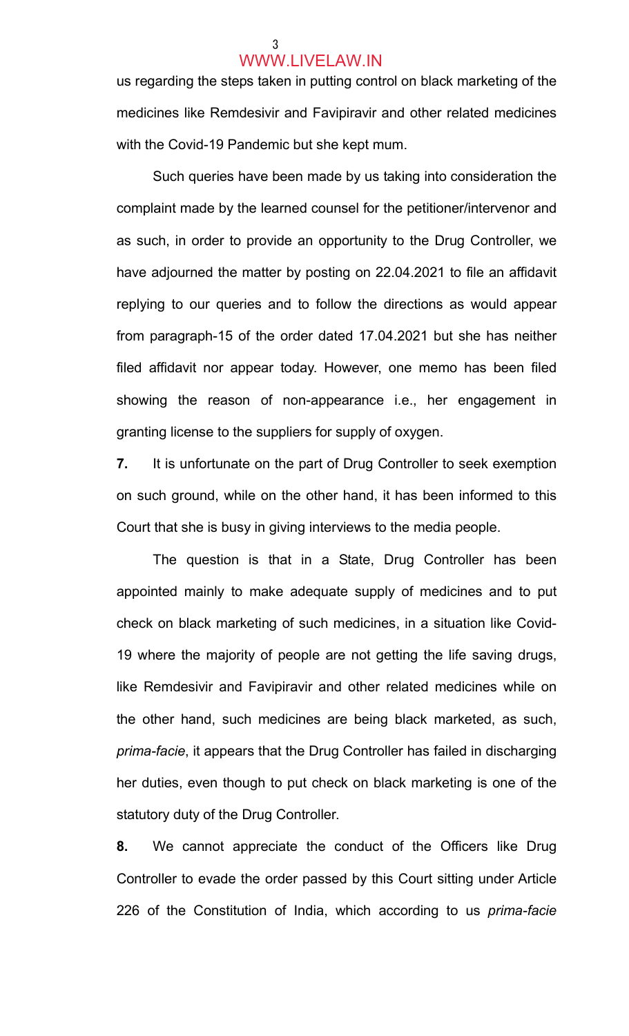### 3 WWW.LIVELAW.IN

us regarding the steps taken in putting control on black marketing of the medicines like Remdesivir and Favipiravir and other related medicines with the Covid-19 Pandemic but she kept mum.

Such queries have been made by us taking into consideration the complaint made by the learned counsel for the petitioner/intervenor and as such, in order to provide an opportunity to the Drug Controller, we have adjourned the matter by posting on 22.04.2021 to file an affidavit replying to our queries and to follow the directions as would appear from paragraph-15 of the order dated 17.04.2021 but she has neither filed affidavit nor appear today. However, one memo has been filed showing the reason of non-appearance i.e., her engagement in granting license to the suppliers for supply of oxygen.

7. It is unfortunate on the part of Drug Controller to seek exemption on such ground, while on the other hand, it has been informed to this Court that she is busy in giving interviews to the media people.

The question is that in a State, Drug Controller has been appointed mainly to make adequate supply of medicines and to put check on black marketing of such medicines, in a situation like Covid-19 where the majority of people are not getting the life saving drugs, like Remdesivir and Favipiravir and other related medicines while on the other hand, such medicines are being black marketed, as such, prima-facie, it appears that the Drug Controller has failed in discharging her duties, even though to put check on black marketing is one of the statutory duty of the Drug Controller.

8. We cannot appreciate the conduct of the Officers like Drug Controller to evade the order passed by this Court sitting under Article 226 of the Constitution of India, which according to us *prima-facie*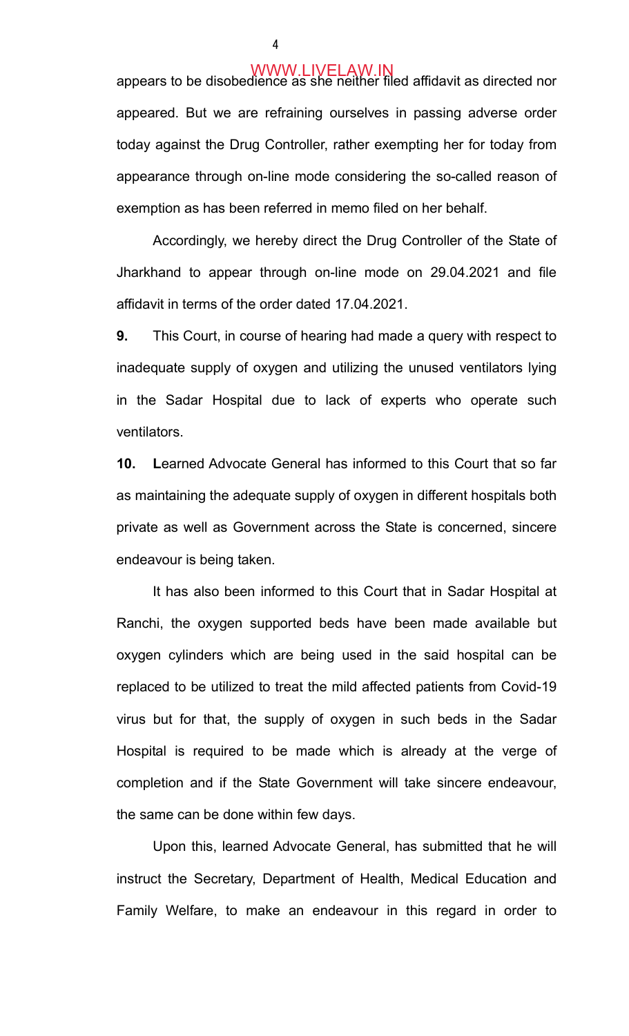appears to be disobedience as she neither filed affidavit as directed nor appeared. But we are refraining ourselves in passing adverse order today against the Drug Controller, rather exempting her for today from appearance through on-line mode considering the so-called reason of exemption as has been referred in memo filed on her behalf.

Accordingly, we hereby direct the Drug Controller of the State of Jharkhand to appear through on-line mode on 29.04.2021 and file affidavit in terms of the order dated 17.04.2021.

9. This Court, in course of hearing had made a query with respect to inadequate supply of oxygen and utilizing the unused ventilators lying in the Sadar Hospital due to lack of experts who operate such ventilators.

10. Learned Advocate General has informed to this Court that so far as maintaining the adequate supply of oxygen in different hospitals both private as well as Government across the State is concerned, sincere endeavour is being taken.

It has also been informed to this Court that in Sadar Hospital at Ranchi, the oxygen supported beds have been made available but oxygen cylinders which are being used in the said hospital can be replaced to be utilized to treat the mild affected patients from Covid-19 virus but for that, the supply of oxygen in such beds in the Sadar Hospital is required to be made which is already at the verge of completion and if the State Government will take sincere endeavour, the same can be done within few days.

 Upon this, learned Advocate General, has submitted that he will instruct the Secretary, Department of Health, Medical Education and Family Welfare, to make an endeavour in this regard in order to

4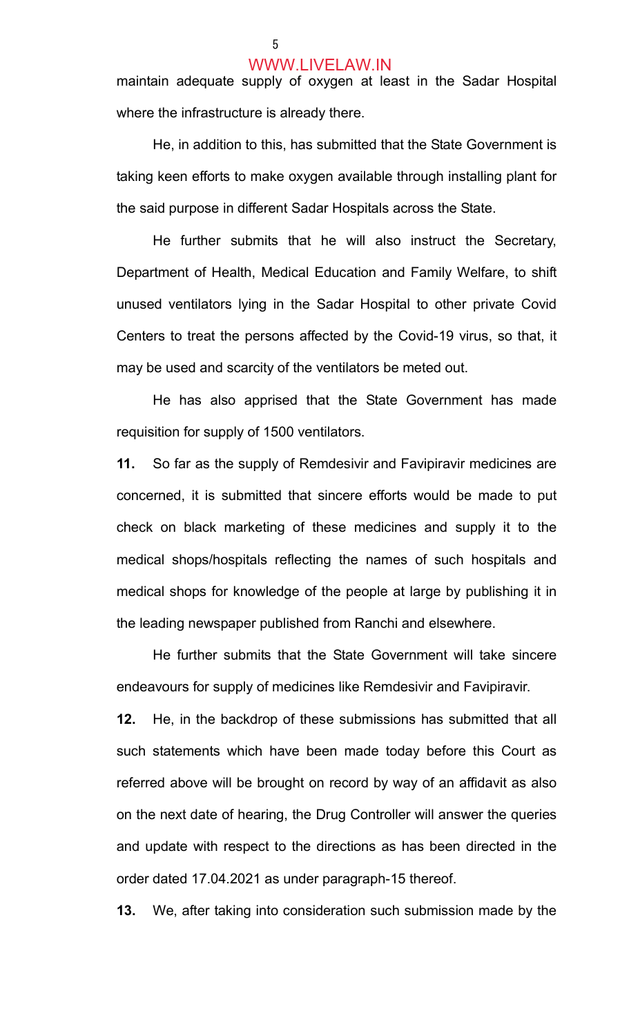#### WWW.LIVELAW.IN

maintain adequate supply of oxygen at least in the Sadar Hospital where the infrastructure is already there.

He, in addition to this, has submitted that the State Government is taking keen efforts to make oxygen available through installing plant for the said purpose in different Sadar Hospitals across the State.

 He further submits that he will also instruct the Secretary, Department of Health, Medical Education and Family Welfare, to shift unused ventilators lying in the Sadar Hospital to other private Covid Centers to treat the persons affected by the Covid-19 virus, so that, it may be used and scarcity of the ventilators be meted out.

 He has also apprised that the State Government has made requisition for supply of 1500 ventilators.

11. So far as the supply of Remdesivir and Favipiravir medicines are concerned, it is submitted that sincere efforts would be made to put check on black marketing of these medicines and supply it to the medical shops/hospitals reflecting the names of such hospitals and medical shops for knowledge of the people at large by publishing it in the leading newspaper published from Ranchi and elsewhere.

 He further submits that the State Government will take sincere endeavours for supply of medicines like Remdesivir and Favipiravir.

12. He, in the backdrop of these submissions has submitted that all such statements which have been made today before this Court as referred above will be brought on record by way of an affidavit as also on the next date of hearing, the Drug Controller will answer the queries and update with respect to the directions as has been directed in the order dated 17.04.2021 as under paragraph-15 thereof.

13. We, after taking into consideration such submission made by the